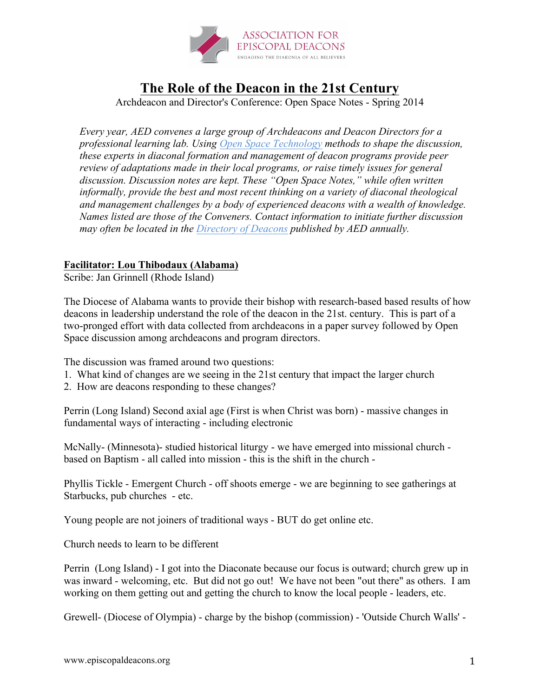

## **The Role of the Deacon in the 21st Century**

Archdeacon and Director's Conference: Open Space Notes - Spring 2014

*Every year, AED convenes a large group of Archdeacons and Deacon Directors for a professional learning lab. Using Open Space Technology methods to shape the discussion, these experts in diaconal formation and management of deacon programs provide peer review of adaptations made in their local programs, or raise timely issues for general discussion. Discussion notes are kept. These "Open Space Notes," while often written informally, provide the best and most recent thinking on a variety of diaconal theological and management challenges by a body of experienced deacons with a wealth of knowledge. Names listed are those of the Conveners. Contact information to initiate further discussion may often be located in the Directory of Deacons published by AED annually.*

## **Facilitator: Lou Thibodaux (Alabama)**

Scribe: Jan Grinnell (Rhode Island)

The Diocese of Alabama wants to provide their bishop with research-based based results of how deacons in leadership understand the role of the deacon in the 21st. century. This is part of a two-pronged effort with data collected from archdeacons in a paper survey followed by Open Space discussion among archdeacons and program directors.

The discussion was framed around two questions:

- 1. What kind of changes are we seeing in the 21st century that impact the larger church
- 2. How are deacons responding to these changes?

Perrin (Long Island) Second axial age (First is when Christ was born) - massive changes in fundamental ways of interacting - including electronic

McNally- (Minnesota)- studied historical liturgy - we have emerged into missional church based on Baptism - all called into mission - this is the shift in the church -

Phyllis Tickle - Emergent Church - off shoots emerge - we are beginning to see gatherings at Starbucks, pub churches - etc.

Young people are not joiners of traditional ways - BUT do get online etc.

Church needs to learn to be different

Perrin (Long Island) - I got into the Diaconate because our focus is outward; church grew up in was inward - welcoming, etc. But did not go out! We have not been "out there" as others. I am working on them getting out and getting the church to know the local people - leaders, etc.

Grewell- (Diocese of Olympia) - charge by the bishop (commission) - 'Outside Church Walls' -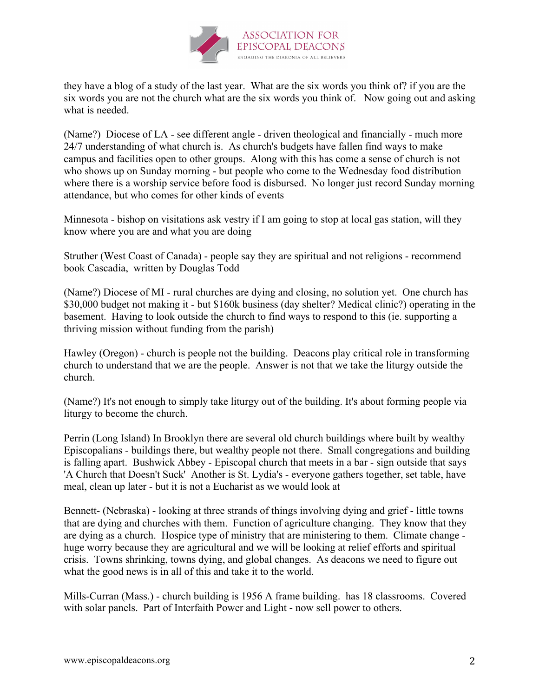

they have a blog of a study of the last year. What are the six words you think of? if you are the six words you are not the church what are the six words you think of. Now going out and asking what is needed.

(Name?) Diocese of LA - see different angle - driven theological and financially - much more 24/7 understanding of what church is. As church's budgets have fallen find ways to make campus and facilities open to other groups. Along with this has come a sense of church is not who shows up on Sunday morning - but people who come to the Wednesday food distribution where there is a worship service before food is disbursed. No longer just record Sunday morning attendance, but who comes for other kinds of events

Minnesota - bishop on visitations ask vestry if I am going to stop at local gas station, will they know where you are and what you are doing

Struther (West Coast of Canada) - people say they are spiritual and not religions - recommend book Cascadia, written by Douglas Todd

(Name?) Diocese of MI - rural churches are dying and closing, no solution yet. One church has \$30,000 budget not making it - but \$160k business (day shelter? Medical clinic?) operating in the basement. Having to look outside the church to find ways to respond to this (ie. supporting a thriving mission without funding from the parish)

Hawley (Oregon) - church is people not the building. Deacons play critical role in transforming church to understand that we are the people. Answer is not that we take the liturgy outside the church.

(Name?) It's not enough to simply take liturgy out of the building. It's about forming people via liturgy to become the church.

Perrin (Long Island) In Brooklyn there are several old church buildings where built by wealthy Episcopalians - buildings there, but wealthy people not there. Small congregations and building is falling apart. Bushwick Abbey - Episcopal church that meets in a bar - sign outside that says 'A Church that Doesn't Suck' Another is St. Lydia's - everyone gathers together, set table, have meal, clean up later - but it is not a Eucharist as we would look at

Bennett- (Nebraska) - looking at three strands of things involving dying and grief - little towns that are dying and churches with them. Function of agriculture changing. They know that they are dying as a church. Hospice type of ministry that are ministering to them. Climate change huge worry because they are agricultural and we will be looking at relief efforts and spiritual crisis. Towns shrinking, towns dying, and global changes. As deacons we need to figure out what the good news is in all of this and take it to the world.

Mills-Curran (Mass.) - church building is 1956 A frame building. has 18 classrooms. Covered with solar panels. Part of Interfaith Power and Light - now sell power to others.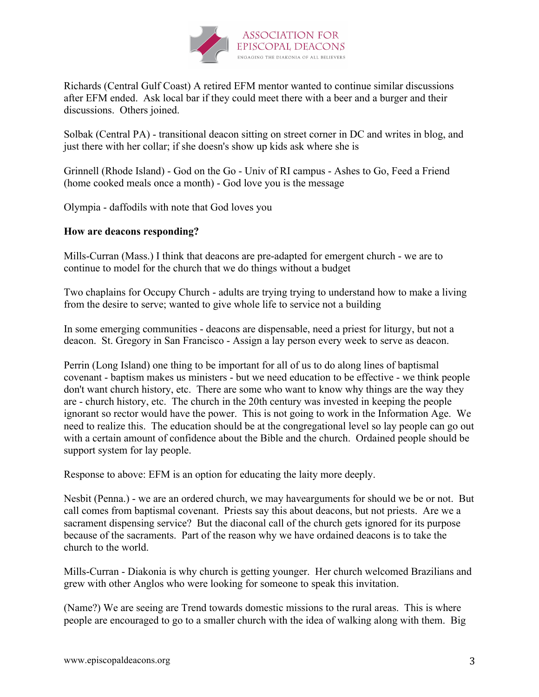

Richards (Central Gulf Coast) A retired EFM mentor wanted to continue similar discussions after EFM ended. Ask local bar if they could meet there with a beer and a burger and their discussions. Others joined.

Solbak (Central PA) - transitional deacon sitting on street corner in DC and writes in blog, and just there with her collar; if she doesn's show up kids ask where she is

Grinnell (Rhode Island) - God on the Go - Univ of RI campus - Ashes to Go, Feed a Friend (home cooked meals once a month) - God love you is the message

Olympia - daffodils with note that God loves you

## **How are deacons responding?**

Mills-Curran (Mass.) I think that deacons are pre-adapted for emergent church - we are to continue to model for the church that we do things without a budget

Two chaplains for Occupy Church - adults are trying trying to understand how to make a living from the desire to serve; wanted to give whole life to service not a building

In some emerging communities - deacons are dispensable, need a priest for liturgy, but not a deacon. St. Gregory in San Francisco - Assign a lay person every week to serve as deacon.

Perrin (Long Island) one thing to be important for all of us to do along lines of baptismal covenant - baptism makes us ministers - but we need education to be effective - we think people don't want church history, etc. There are some who want to know why things are the way they are - church history, etc. The church in the 20th century was invested in keeping the people ignorant so rector would have the power. This is not going to work in the Information Age. We need to realize this. The education should be at the congregational level so lay people can go out with a certain amount of confidence about the Bible and the church. Ordained people should be support system for lay people.

Response to above: EFM is an option for educating the laity more deeply.

Nesbit (Penna.) - we are an ordered church, we may havearguments for should we be or not. But call comes from baptismal covenant. Priests say this about deacons, but not priests. Are we a sacrament dispensing service? But the diaconal call of the church gets ignored for its purpose because of the sacraments. Part of the reason why we have ordained deacons is to take the church to the world.

Mills-Curran - Diakonia is why church is getting younger. Her church welcomed Brazilians and grew with other Anglos who were looking for someone to speak this invitation.

(Name?) We are seeing are Trend towards domestic missions to the rural areas. This is where people are encouraged to go to a smaller church with the idea of walking along with them. Big